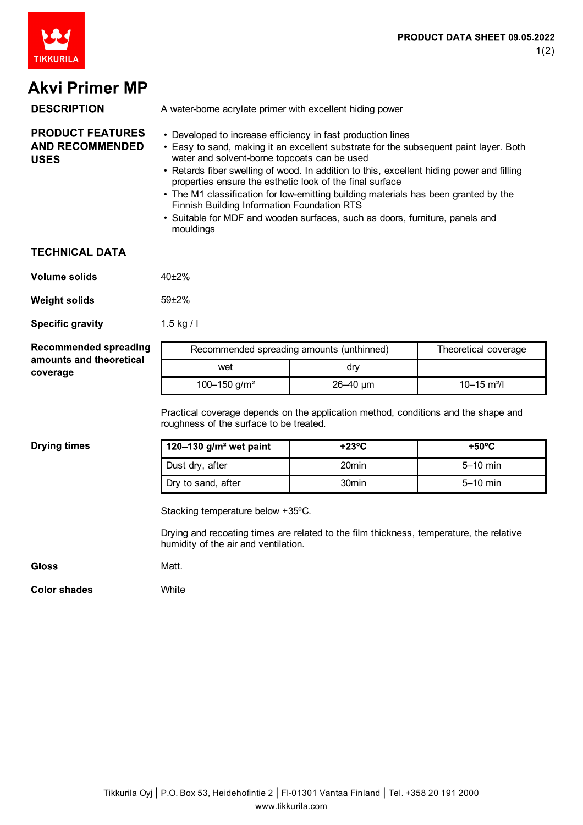

# **Akvi Primer MP**

| <b>DESCRIPTION</b>                                               | A water-borne acrylate primer with excellent hiding power                                                                                                                                                                                                                                         |
|------------------------------------------------------------------|---------------------------------------------------------------------------------------------------------------------------------------------------------------------------------------------------------------------------------------------------------------------------------------------------|
| <b>PRODUCT FEATURES</b><br><b>AND RECOMMENDED</b><br><b>USES</b> | • Developed to increase efficiency in fast production lines<br>• Easy to sand, making it an excellent substrate for the subsequent paint layer. Both<br>water and solvent-borne topcoats can be used<br>• Retards fiber swelling of wood. In addition to this, excellent hiding power and filling |

- properties ensure the esthetic look of the final surface • The M1 classification for low-emitting building materials has been granted by the Finnish Building Information Foundation RTS
- Suitable for MDF and wooden surfaces, such as doors, furniture, panels and mouldings

### **TECHNICAL DATA**

| Volume solids | $40+2%$ |
|---------------|---------|
| Weight solids | $59+2%$ |

**Specific gravity** 1.5 kg / l

| <b>Recommended spreading</b><br>amounts and theoretical<br>coverage | Recommended spreading amounts (unthinned) |                 | Theoretical coverage        |
|---------------------------------------------------------------------|-------------------------------------------|-----------------|-----------------------------|
|                                                                     | wet                                       | dry             |                             |
|                                                                     | 100–150 g/m <sup>2</sup>                  | $26 - 40 \mu m$ | $10 - 15$ m <sup>2</sup> /l |

Practical coverage depends on the application method, conditions and the shape and roughness of the surface to be treated.

#### **Drying times**

| 120–130 $g/m2$ wet paint | +23°C | $+50^{\circ}$ C |
|--------------------------|-------|-----------------|
| Dust dry, after          | 20min | $5-10$ min      |
| Dry to sand, after       | 30min | $5-10$ min      |

Stacking temperature below +35ºC.

Drying and recoating times are related to the film thickness, temperature, the relative humidity of the air and ventilation.

#### **Gloss**

Matt.

**White** 

**Color shades**